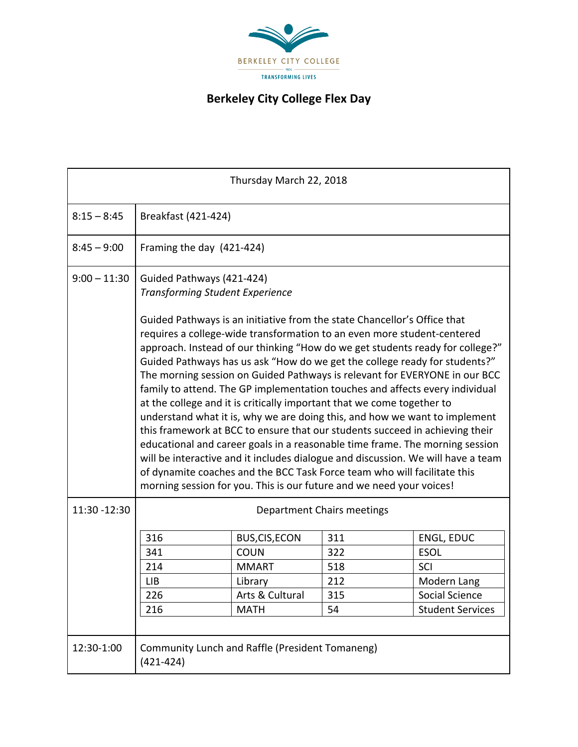

## **Berkeley City College Flex Day**

| Thursday March 22, 2018 |                                                                                                                                                                                                                                                                                                                                                                                                                                                                                                                                                                                                                                                                                                                                                                                                                                                                                                                                                                                                                                                                                                                         |                       |     |                         |  |  |
|-------------------------|-------------------------------------------------------------------------------------------------------------------------------------------------------------------------------------------------------------------------------------------------------------------------------------------------------------------------------------------------------------------------------------------------------------------------------------------------------------------------------------------------------------------------------------------------------------------------------------------------------------------------------------------------------------------------------------------------------------------------------------------------------------------------------------------------------------------------------------------------------------------------------------------------------------------------------------------------------------------------------------------------------------------------------------------------------------------------------------------------------------------------|-----------------------|-----|-------------------------|--|--|
| $8:15 - 8:45$           | Breakfast (421-424)                                                                                                                                                                                                                                                                                                                                                                                                                                                                                                                                                                                                                                                                                                                                                                                                                                                                                                                                                                                                                                                                                                     |                       |     |                         |  |  |
| $8:45 - 9:00$           | Framing the day (421-424)                                                                                                                                                                                                                                                                                                                                                                                                                                                                                                                                                                                                                                                                                                                                                                                                                                                                                                                                                                                                                                                                                               |                       |     |                         |  |  |
| $9:00 - 11:30$          | Guided Pathways (421-424)<br><b>Transforming Student Experience</b><br>Guided Pathways is an initiative from the state Chancellor's Office that<br>requires a college-wide transformation to an even more student-centered<br>approach. Instead of our thinking "How do we get students ready for college?"<br>Guided Pathways has us ask "How do we get the college ready for students?"<br>The morning session on Guided Pathways is relevant for EVERYONE in our BCC<br>family to attend. The GP implementation touches and affects every individual<br>at the college and it is critically important that we come together to<br>understand what it is, why we are doing this, and how we want to implement<br>this framework at BCC to ensure that our students succeed in achieving their<br>educational and career goals in a reasonable time frame. The morning session<br>will be interactive and it includes dialogue and discussion. We will have a team<br>of dynamite coaches and the BCC Task Force team who will facilitate this<br>morning session for you. This is our future and we need your voices! |                       |     |                         |  |  |
| 11:30 - 12:30           | <b>Department Chairs meetings</b>                                                                                                                                                                                                                                                                                                                                                                                                                                                                                                                                                                                                                                                                                                                                                                                                                                                                                                                                                                                                                                                                                       |                       |     |                         |  |  |
|                         | 316                                                                                                                                                                                                                                                                                                                                                                                                                                                                                                                                                                                                                                                                                                                                                                                                                                                                                                                                                                                                                                                                                                                     | <b>BUS, CIS, ECON</b> | 311 | <b>ENGL, EDUC</b>       |  |  |
|                         | 341                                                                                                                                                                                                                                                                                                                                                                                                                                                                                                                                                                                                                                                                                                                                                                                                                                                                                                                                                                                                                                                                                                                     | <b>COUN</b>           | 322 | <b>ESOL</b>             |  |  |
|                         | 214                                                                                                                                                                                                                                                                                                                                                                                                                                                                                                                                                                                                                                                                                                                                                                                                                                                                                                                                                                                                                                                                                                                     | <b>MMART</b>          | 518 | SCI                     |  |  |
|                         | <b>LIB</b>                                                                                                                                                                                                                                                                                                                                                                                                                                                                                                                                                                                                                                                                                                                                                                                                                                                                                                                                                                                                                                                                                                              | Library               | 212 | Modern Lang             |  |  |
|                         | 226                                                                                                                                                                                                                                                                                                                                                                                                                                                                                                                                                                                                                                                                                                                                                                                                                                                                                                                                                                                                                                                                                                                     | Arts & Cultural       | 315 | Social Science          |  |  |
|                         | 216                                                                                                                                                                                                                                                                                                                                                                                                                                                                                                                                                                                                                                                                                                                                                                                                                                                                                                                                                                                                                                                                                                                     | <b>MATH</b>           | 54  | <b>Student Services</b> |  |  |
|                         |                                                                                                                                                                                                                                                                                                                                                                                                                                                                                                                                                                                                                                                                                                                                                                                                                                                                                                                                                                                                                                                                                                                         |                       |     |                         |  |  |
| 12:30-1:00              | <b>Community Lunch and Raffle (President Tomaneng)</b><br>$(421 - 424)$                                                                                                                                                                                                                                                                                                                                                                                                                                                                                                                                                                                                                                                                                                                                                                                                                                                                                                                                                                                                                                                 |                       |     |                         |  |  |